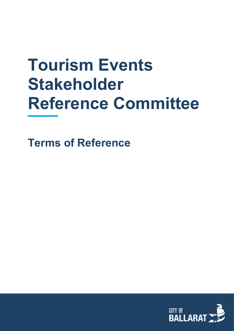# **Tourism Events Stakeholder Reference Committee**

**Terms of Reference**

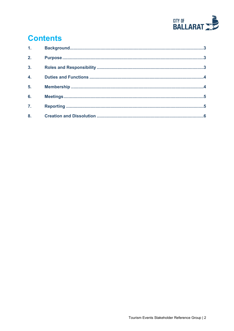

## **Contents**

| 1 <sub>1</sub>   |  |
|------------------|--|
| 2.               |  |
| 3 <sub>1</sub>   |  |
| 4.               |  |
| 5.               |  |
| 6.               |  |
| $\overline{7}$ . |  |
| 8.               |  |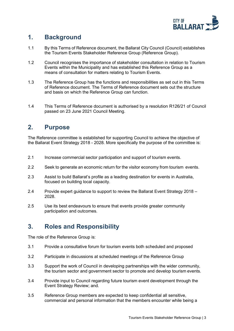

### <span id="page-2-0"></span>**1. Background**

- 1.1 By this Terms of Reference document, the Ballarat City Council (Council) establishes the Tourism Events Stakeholder Reference Group (Reference Group).
- 1.2 Council recognises the importance of stakeholder consultation in relation to Tourism Events within the Municipality and has established this Reference Group as a means of consultation for matters relating to Tourism Events.
- 1.3 The Reference Group has the functions and responsibilities as set out in this Terms of Reference document. The Terms of Reference document sets out the structure and basis on which the Reference Group can function.
- 1.4 This Terms of Reference document is authorised by a resolution R126/21 of Council passed on 23 June 2021 Council Meeting.

#### <span id="page-2-1"></span>**2. Purpose**

The Reference committee is established for supporting Council to achieve the objective of the Ballarat Event Strategy 2018 - 2028. More specifically the purpose of the committee is:

- 2.1 Increase commercial sector participation and support of tourism events.
- 2.2 Seek to generate an economic return for the visitor economy from tourism events.
- 2.3 Assist to build Ballarat's profile as a leading destination for events in Australia, focused on building local capacity.
- 2.4 Provide expert guidance to support to review the Ballarat Event Strategy 2018 2028.
- <span id="page-2-2"></span>2.5 Use its best endeavours to ensure that events provide greater community participation and outcomes.

### **3. Roles and Responsibility**

The role of the Reference Group is:

- 3.1 Provide a consultative forum for tourism events both scheduled and proposed
- 3.2 Participate in discussions at scheduled meetings of the Reference Group
- 3.3 Support the work of Council in developing partnerships with the wider community, the tourism sector and government sector to promote and develop tourism events.
- 3.4 Provide input to Council regarding future tourism event development through the Event Strategy Review; and.
- 3.5 Reference Group members are expected to keep confidential all sensitive, commercial and personal information that the members encounter while being a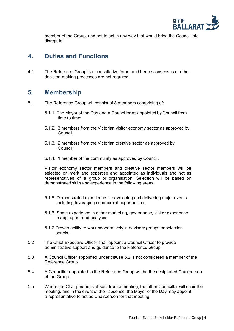

member of the Group, and not to act in any way that would bring the Council into disrepute.

#### <span id="page-3-0"></span>**4. Duties and Functions**

4.1 The Reference Group is a consultative forum and hence consensus or other decision-making processes are not required.

#### <span id="page-3-1"></span>**5. Membership**

- 5.1 The Reference Group will consist of 8 members comprising of:
	- 5.1.1. The Mayor of the Day and a Councillor as appointed by Council from time to time;
	- 5.1.2. 3 members from the Victorian visitor economy sector as approved by Council;
	- 5.1.3. 2 members from the Victorian creative sector as approved by Council;
	- 5.1.4. 1 member of the community as approved by Council.

Visitor economy sector members and creative sector members will be selected on merit and expertise and appointed as individuals and not as representatives of a group or organisation. Selection will be based on demonstrated skills and experience in the following areas:

- 5.1.5. Demonstrated experience in developing and delivering major events including leveraging commercial opportunities.
- 5.1.6. Some experience in either marketing, governance, visitor experience mapping or trend analysis.
- 5.1.7 Proven ability to work cooperatively in advisory groups or selection panels.
- 5.2 The Chief Executive Officer shall appoint a Council Officer to provide administrative support and guidance to the Reference Group.
- 5.3 A Council Officer appointed under clause 5.2 is not considered a member of the Reference Group.
- 5.4 A Councillor appointed to the Reference Group will be the designated Chairperson of the Group.
- 5.5 Where the Chairperson is absent from a meeting, the other Councillor will chair the meeting, and in the event of their absence, the Mayor of the Day may appoint a representative to act as Chairperson for that meeting.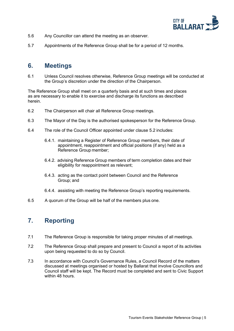

- 5.6 Any Councillor can attend the meeting as an observer.
- 5.7 Appointments of the Reference Group shall be for a period of 12 months.

#### <span id="page-4-0"></span>**6. Meetings**

6.1 Unless Council resolves otherwise, Reference Group meetings will be conducted at the Group's discretion under the direction of the Chairperson.

The Reference Group shall meet on a quarterly basis and at such times and places as are necessary to enable it to exercise and discharge its functions as described herein.

- 6.2 The Chairperson will chair all Reference Group meetings.
- 6.3 The Mayor of the Day is the authorised spokesperson for the Reference Group.
- 6.4 The role of the Council Officer appointed under clause 5.2 includes:
	- 6.4.1. maintaining a Register of Reference Group members, their date of appointment, reappointment and official positions (if any) held as a Reference Group member;
	- 6.4.2. advising Reference Group members of term completion dates and their eligibility for reappointment as relevant;
	- 6.4.3. acting as the contact point between Council and the Reference Group; and
	- 6.4.4. assisting with meeting the Reference Group's reporting requirements.
- 6.5 A quorum of the Group will be half of the members plus one.

### <span id="page-4-1"></span>**7. Reporting**

- 7.1 The Reference Group is responsible for taking proper minutes of all meetings.
- 7.2 The Reference Group shall prepare and present to Council a report of its activities upon being requested to do so by Council.
- 7.3 In accordance with Council's Governance Rules, a Council Record of the matters discussed at meetings organised or hosted by Ballarat that involve Councillors and Council staff will be kept. The Record must be completed and sent to Civic Support within 48 hours.